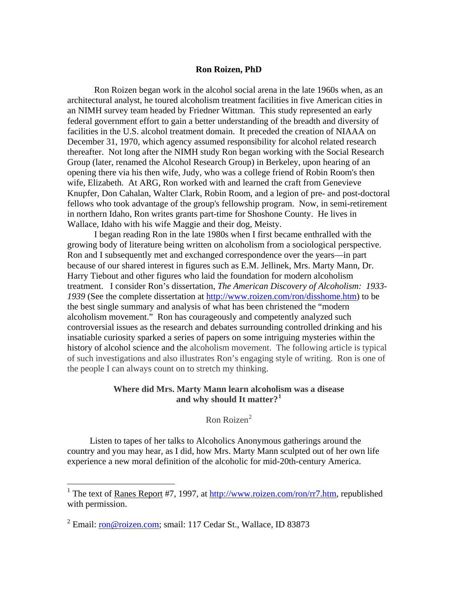## **Ron Roizen, PhD**

 Ron Roizen began work in the alcohol social arena in the late 1960s when, as an architectural analyst, he toured alcoholism treatment facilities in five American cities in an NIMH survey team headed by Friedner Wittman. This study represented an early federal government effort to gain a better understanding of the breadth and diversity of facilities in the U.S. alcohol treatment domain. It preceded the creation of NIAAA on December 31, 1970, which agency assumed responsibility for alcohol related research thereafter. Not long after the NIMH study Ron began working with the Social Research Group (later, renamed the Alcohol Research Group) in Berkeley, upon hearing of an opening there via his then wife, Judy, who was a college friend of Robin Room's then wife, Elizabeth. At ARG, Ron worked with and learned the craft from Genevieve Knupfer, Don Cahalan, Walter Clark, Robin Room, and a legion of pre- and post-doctoral fellows who took advantage of the group's fellowship program. Now, in semi-retirement in northern Idaho, Ron writes grants part-time for Shoshone County. He lives in Wallace, Idaho with his wife Maggie and their dog, Meisty.

 I began reading Ron in the late 1980s when I first became enthralled with the growing body of literature being written on alcoholism from a sociological perspective. Ron and I subsequently met and exchanged correspondence over the years—in part because of our shared interest in figures such as E.M. Jellinek, Mrs. Marty Mann, Dr. Harry Tiebout and other figures who laid the foundation for modern alcoholism treatment. I consider Ron's dissertation, *The American Discovery of Alcoholism: 1933- 1939* (See the complete dissertation at [http://www.roizen.com/ron/disshome.htm\)](http://www.roizen.com/ron/disshome.htm) to be the best single summary and analysis of what has been christened the "modern alcoholism movement." Ron has courageously and competently analyzed such controversial issues as the research and debates surrounding controlled drinking and his insatiable curiosity sparked a series of papers on some intriguing mysteries within the history of alcohol science and the alcoholism movement. The following article is typical of such investigations and also illustrates Ron's engaging style of writing. Ron is one of the people I can always count on to stretch my thinking.

## **Where did Mrs. Marty Mann learn alcoholism was a disease and why should It matter?[1](#page-0-0)**

Ron Roizen<sup>[2](#page-0-1)</sup>

Listen to tapes of her talks to Alcoholics Anonymous gatherings around the country and you may hear, as I did, how Mrs. Marty Mann sculpted out of her own life experience a new moral definition of the alcoholic for mid-20th-century America.

 $\overline{a}$ 

<span id="page-0-0"></span><sup>&</sup>lt;sup>1</sup> The text of <u>Ranes Report</u> #7, 1997, at  $\frac{http://www.roizen.com/ron/rr7.htm}{http://www.roizen.com/ron/rr7.htm}$ , republished with permission.

<span id="page-0-1"></span><sup>&</sup>lt;sup>2</sup> Email: <u>ron@roizen.com</u>; smail: 117 Cedar St., Wallace, ID 83873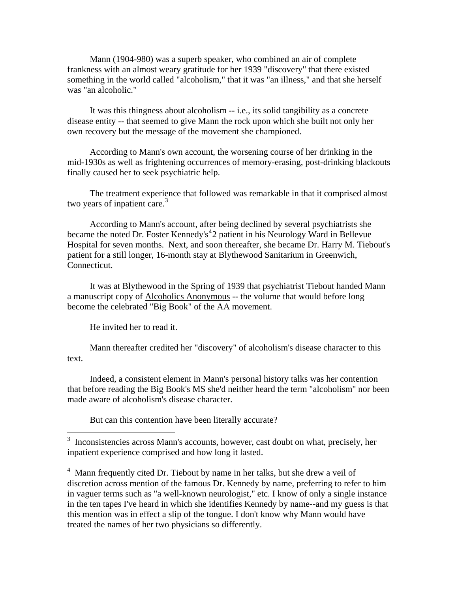Mann (1904-980) was a superb speaker, who combined an air of complete frankness with an almost weary gratitude for her 1939 "discovery" that there existed something in the world called "alcoholism," that it was "an illness," and that she herself was "an alcoholic."

It was this thingness about alcoholism -- i.e., its solid tangibility as a concrete disease entity -- that seemed to give Mann the rock upon which she built not only her own recovery but the message of the movement she championed.

According to Mann's own account, the worsening course of her drinking in the mid-1930s as well as frightening occurrences of memory-erasing, post-drinking blackouts finally caused her to seek psychiatric help.

The treatment experience that followed was remarkable in that it comprised almost two years of inpatient care. $3$ 

According to Mann's account, after being declined by several psychiatrists she became the noted Dr. Foster Kennedy's<sup>[4](#page-1-1)</sup>2 patient in his Neurology Ward in Bellevue Hospital for seven months. Next, and soon thereafter, she became Dr. Harry M. Tiebout's patient for a still longer, 16-month stay at Blythewood Sanitarium in Greenwich, Connecticut.

It was at Blythewood in the Spring of 1939 that psychiatrist Tiebout handed Mann a manuscript copy of Alcoholics Anonymous -- the volume that would before long become the celebrated "Big Book" of the AA movement.

He invited her to read it.

 $\overline{a}$ 

Mann thereafter credited her "discovery" of alcoholism's disease character to this text.

Indeed, a consistent element in Mann's personal history talks was her contention that before reading the Big Book's MS she'd neither heard the term "alcoholism" nor been made aware of alcoholism's disease character.

But can this contention have been literally accurate?

<span id="page-1-0"></span><sup>&</sup>lt;sup>3</sup> Inconsistencies across Mann's accounts, however, cast doubt on what, precisely, her inpatient experience comprised and how long it lasted.

<span id="page-1-1"></span><sup>&</sup>lt;sup>4</sup> Mann frequently cited Dr. Tiebout by name in her talks, but she drew a veil of discretion across mention of the famous Dr. Kennedy by name, preferring to refer to him in vaguer terms such as "a well-known neurologist," etc. I know of only a single instance in the ten tapes I've heard in which she identifies Kennedy by name--and my guess is that this mention was in effect a slip of the tongue. I don't know why Mann would have treated the names of her two physicians so differently.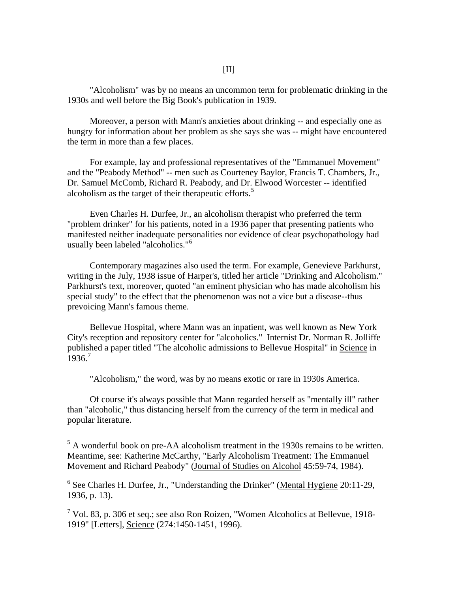"Alcoholism" was by no means an uncommon term for problematic drinking in the 1930s and well before the Big Book's publication in 1939.

Moreover, a person with Mann's anxieties about drinking -- and especially one as hungry for information about her problem as she says she was -- might have encountered the term in more than a few places.

For example, lay and professional representatives of the "Emmanuel Movement" and the "Peabody Method" -- men such as Courteney Baylor, Francis T. Chambers, Jr., Dr. Samuel McComb, Richard R. Peabody, and Dr. Elwood Worcester -- identified alcoholism as the target of their therapeutic efforts.<sup>[5](#page-2-0)</sup>

Even Charles H. Durfee, Jr., an alcoholism therapist who preferred the term "problem drinker" for his patients, noted in a 1936 paper that presenting patients who manifested neither inadequate personalities nor evidence of clear psychopathology had usually been labeled "alcoholics."[6](#page-2-1)

Contemporary magazines also used the term. For example, Genevieve Parkhurst, writing in the July, 1938 issue of Harper's, titled her article "Drinking and Alcoholism." Parkhurst's text, moreover, quoted "an eminent physician who has made alcoholism his special study" to the effect that the phenomenon was not a vice but a disease--thus prevoicing Mann's famous theme.

Bellevue Hospital, where Mann was an inpatient, was well known as New York City's reception and repository center for "alcoholics." Internist Dr. Norman R. Jolliffe published a paper titled "The alcoholic admissions to Bellevue Hospital" in Science in  $1936.7$  $1936.7$ 

"Alcoholism," the word, was by no means exotic or rare in 1930s America.

Of course it's always possible that Mann regarded herself as "mentally ill" rather than "alcoholic," thus distancing herself from the currency of the term in medical and popular literature.

 $\overline{a}$ 

<span id="page-2-0"></span> $<sup>5</sup>$  A wonderful book on pre-AA alcoholism treatment in the 1930s remains to be written.</sup> Meantime, see: Katherine McCarthy, "Early Alcoholism Treatment: The Emmanuel Movement and Richard Peabody" (Journal of Studies on Alcohol 45:59-74, 1984).

<span id="page-2-1"></span><sup>&</sup>lt;sup>6</sup> See Charles H. Durfee, Jr., "Understanding the Drinker" (Mental Hygiene 20:11-29, 1936, p. 13).

<span id="page-2-2"></span> $<sup>7</sup>$  Vol. 83, p. 306 et seq.; see also Ron Roizen, "Women Alcoholics at Bellevue, 1918-</sup> 1919" [Letters], Science (274:1450-1451, 1996).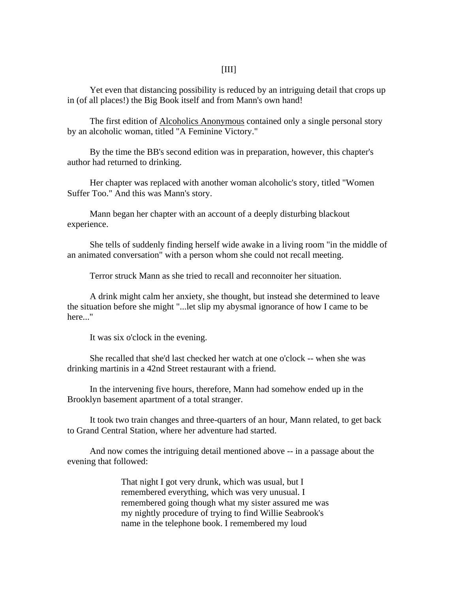Yet even that distancing possibility is reduced by an intriguing detail that crops up in (of all places!) the Big Book itself and from Mann's own hand!

The first edition of Alcoholics Anonymous contained only a single personal story by an alcoholic woman, titled "A Feminine Victory."

By the time the BB's second edition was in preparation, however, this chapter's author had returned to drinking.

Her chapter was replaced with another woman alcoholic's story, titled "Women Suffer Too." And this was Mann's story.

Mann began her chapter with an account of a deeply disturbing blackout experience.

She tells of suddenly finding herself wide awake in a living room "in the middle of an animated conversation" with a person whom she could not recall meeting.

Terror struck Mann as she tried to recall and reconnoiter her situation.

A drink might calm her anxiety, she thought, but instead she determined to leave the situation before she might "...let slip my abysmal ignorance of how I came to be here..."

It was six o'clock in the evening.

She recalled that she'd last checked her watch at one o'clock -- when she was drinking martinis in a 42nd Street restaurant with a friend.

In the intervening five hours, therefore, Mann had somehow ended up in the Brooklyn basement apartment of a total stranger.

It took two train changes and three-quarters of an hour, Mann related, to get back to Grand Central Station, where her adventure had started.

And now comes the intriguing detail mentioned above -- in a passage about the evening that followed:

> That night I got very drunk, which was usual, but I remembered everything, which was very unusual. I remembered going though what my sister assured me was my nightly procedure of trying to find Willie Seabrook's name in the telephone book. I remembered my loud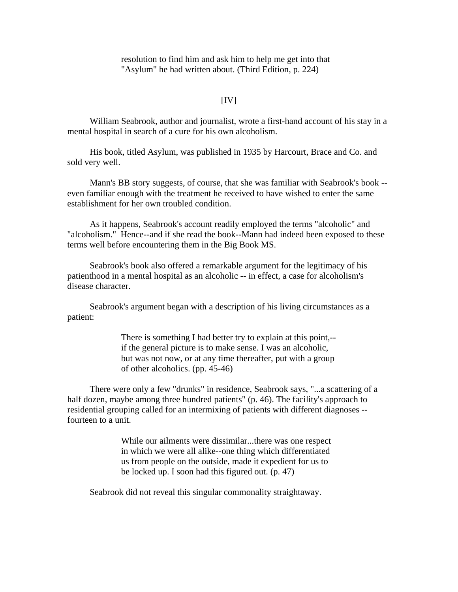resolution to find him and ask him to help me get into that "Asylum" he had written about. (Third Edition, p. 224)

## $[IV]$

William Seabrook, author and journalist, wrote a first-hand account of his stay in a mental hospital in search of a cure for his own alcoholism.

His book, titled Asylum, was published in 1935 by Harcourt, Brace and Co. and sold very well.

Mann's BB story suggests, of course, that she was familiar with Seabrook's book - even familiar enough with the treatment he received to have wished to enter the same establishment for her own troubled condition.

As it happens, Seabrook's account readily employed the terms "alcoholic" and "alcoholism." Hence--and if she read the book--Mann had indeed been exposed to these terms well before encountering them in the Big Book MS.

Seabrook's book also offered a remarkable argument for the legitimacy of his patienthood in a mental hospital as an alcoholic -- in effect, a case for alcoholism's disease character.

Seabrook's argument began with a description of his living circumstances as a patient:

> There is something I had better try to explain at this point,- if the general picture is to make sense. I was an alcoholic, but was not now, or at any time thereafter, put with a group of other alcoholics. (pp. 45-46)

There were only a few "drunks" in residence, Seabrook says, "...a scattering of a half dozen, maybe among three hundred patients" (p. 46). The facility's approach to residential grouping called for an intermixing of patients with different diagnoses - fourteen to a unit.

> While our ailments were dissimilar...there was one respect in which we were all alike--one thing which differentiated us from people on the outside, made it expedient for us to be locked up. I soon had this figured out. (p. 47)

Seabrook did not reveal this singular commonality straightaway.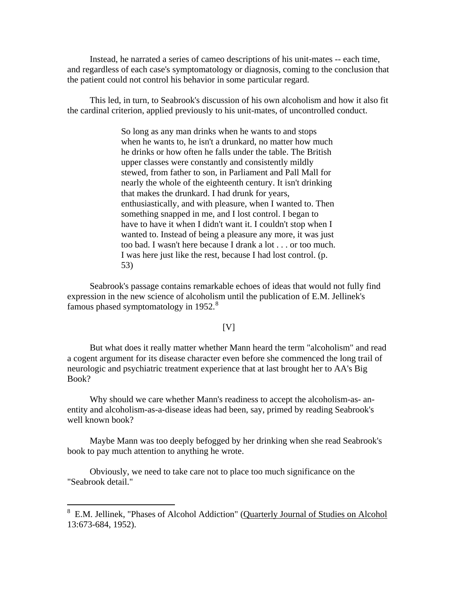Instead, he narrated a series of cameo descriptions of his unit-mates -- each time, and regardless of each case's symptomatology or diagnosis, coming to the conclusion that the patient could not control his behavior in some particular regard.

This led, in turn, to Seabrook's discussion of his own alcoholism and how it also fit the cardinal criterion, applied previously to his unit-mates, of uncontrolled conduct.

> So long as any man drinks when he wants to and stops when he wants to, he isn't a drunkard, no matter how much he drinks or how often he falls under the table. The British upper classes were constantly and consistently mildly stewed, from father to son, in Parliament and Pall Mall for nearly the whole of the eighteenth century. It isn't drinking that makes the drunkard. I had drunk for years, enthusiastically, and with pleasure, when I wanted to. Then something snapped in me, and I lost control. I began to have to have it when I didn't want it. I couldn't stop when I wanted to. Instead of being a pleasure any more, it was just too bad. I wasn't here because I drank a lot . . . or too much. I was here just like the rest, because I had lost control. (p. 53)

Seabrook's passage contains remarkable echoes of ideas that would not fully find expression in the new science of alcoholism until the publication of E.M. Jellinek's famous phased symptomatology in 1952.<sup>[8](#page-5-0)</sup>

## $[V]$

But what does it really matter whether Mann heard the term "alcoholism" and read a cogent argument for its disease character even before she commenced the long trail of neurologic and psychiatric treatment experience that at last brought her to AA's Big Book?

Why should we care whether Mann's readiness to accept the alcoholism-as- anentity and alcoholism-as-a-disease ideas had been, say, primed by reading Seabrook's well known book?

Maybe Mann was too deeply befogged by her drinking when she read Seabrook's book to pay much attention to anything he wrote.

Obviously, we need to take care not to place too much significance on the "Seabrook detail."

 $\overline{a}$ 

<span id="page-5-0"></span><sup>8</sup> E.M. Jellinek, "Phases of Alcohol Addiction" (Quarterly Journal of Studies on Alcohol 13:673-684, 1952).